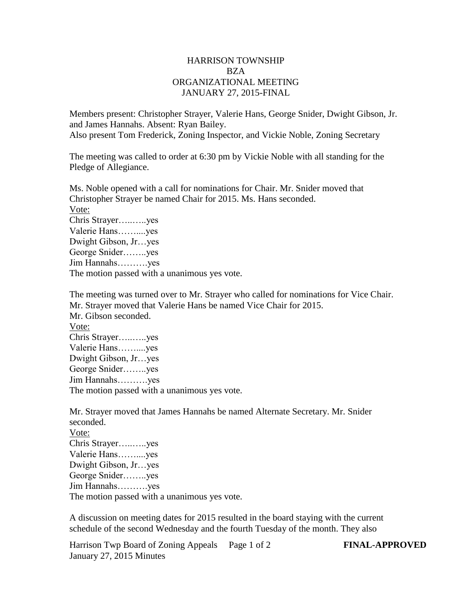## HARRISON TOWNSHIP BZA ORGANIZATIONAL MEETING JANUARY 27, 2015-FINAL

Members present: Christopher Strayer, Valerie Hans, George Snider, Dwight Gibson, Jr. and James Hannahs. Absent: Ryan Bailey. Also present Tom Frederick, Zoning Inspector, and Vickie Noble, Zoning Secretary

The meeting was called to order at 6:30 pm by Vickie Noble with all standing for the Pledge of Allegiance.

Ms. Noble opened with a call for nominations for Chair. Mr. Snider moved that Christopher Strayer be named Chair for 2015. Ms. Hans seconded. Vote: Chris Strayer…..…..yes Valerie Hans……....yes Dwight Gibson, Jr…yes George Snider……..yes Jim Hannahs……….yes The motion passed with a unanimous yes vote.

The meeting was turned over to Mr. Strayer who called for nominations for Vice Chair. Mr. Strayer moved that Valerie Hans be named Vice Chair for 2015. Mr. Gibson seconded. Vote: Chris Strayer…..…..yes Valerie Hans……....yes Dwight Gibson, Jr…yes George Snider……..yes Jim Hannahs……….yes The motion passed with a unanimous yes vote.

Mr. Strayer moved that James Hannahs be named Alternate Secretary. Mr. Snider seconded.

Vote: Chris Strayer…..…..yes Valerie Hans……....yes Dwight Gibson, Jr…yes George Snider……..yes Jim Hannahs……….yes The motion passed with a unanimous yes vote.

A discussion on meeting dates for 2015 resulted in the board staying with the current schedule of the second Wednesday and the fourth Tuesday of the month. They also

Harrison Twp Board of Zoning Appeals Page 1 of 2 **FINAL-APPROVED** January 27, 2015 Minutes